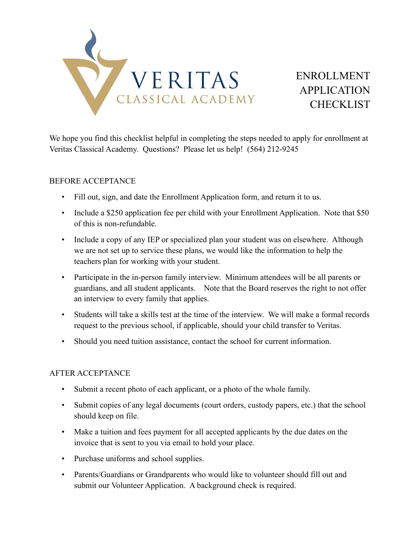

# ENROLLMENT APPLICATION **CHECKLIST**

We hope you find this checklist helpful in completing the steps needed to apply for enrollment at Veritas Classical Academy. Questions? Please let us help! (564) 212-9245

#### BEFORE ACCEPTANCE

- Fill out, sign, and date the Enrollment Application form, and return it to us.
- Include a \$250 application fee per child with your Enrollment Application. Note that \$50 of this is non-refundable.
- Include a copy of any IEP or specialized plan your student was on elsewhere. Although we are not set up to service these plans, we would like the information to help the teachers plan for working with your student.
- Participate in the in-person family interview. Minimum attendees will be all parents or guardians, and all student applicants. Note that the Board reserves the right to not offer an interview to every family that applies.
- Students will take a skills test at the time of the interview. We will make a formal records request to the previous school, if applicable, should your child transfer to Veritas.
- Should you need tuition assistance, contact the school for current information.

#### AFTER ACCEPTANCE

- Submit a recent photo of each applicant, or a photo of the whole family.
- Submit copies of any legal documents (court orders, custody papers, etc.) that the school should keep on file.
- Make a tuition and fees payment for all accepted applicants by the due dates on the invoice that is sent to you via email to hold your place.
- Purchase uniforms and school supplies.
- Parents/Guardians or Grandparents who would like to volunteer should fill out and submit our Volunteer Application. A background check is required.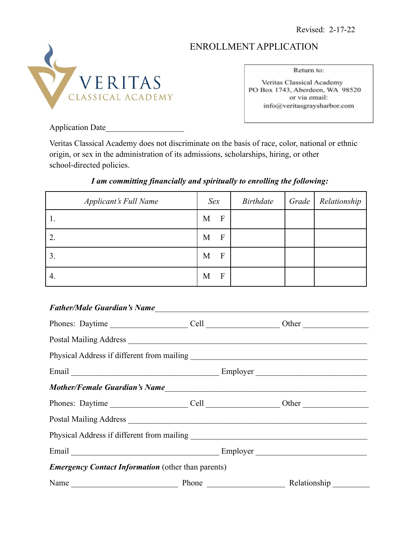Revised: 2-17-22

# ENROLLMENT APPLICATION



Return to:

Veritas Classical Academy PO Box 1743, Aberdeen, WA 98520 or via email: info@veritasgraysharbor.com

Application Date

Veritas Classical Academy does not discriminate on the basis of race, color, national or ethnic origin, or sex in the administration of its admissions, scholarships, hiring, or other school-directed policies.

# *I am committing financially and spiritually to enrolling the following:*

| <b>Applicant's Full Name</b> | Sex    | <i>Birthdate</i> | Grade   Relationship |
|------------------------------|--------|------------------|----------------------|
|                              | F<br>M |                  |                      |
|                              | F<br>M |                  |                      |
|                              | F<br>M |                  |                      |
| 4.                           | F<br>M |                  |                      |

#### *Father/Male Guardian's Name*

| Physical Address if different from mailing<br><u>Express of</u> the mailing<br>Shape and the mailing<br>Shape and the mailing<br>Shape and the mailing<br>Shape and the mailing<br>Shape and the mailing<br>Shape and the mailing of the mailing |          |              |  |  |
|--------------------------------------------------------------------------------------------------------------------------------------------------------------------------------------------------------------------------------------------------|----------|--------------|--|--|
|                                                                                                                                                                                                                                                  | Employer |              |  |  |
|                                                                                                                                                                                                                                                  |          |              |  |  |
|                                                                                                                                                                                                                                                  |          |              |  |  |
|                                                                                                                                                                                                                                                  |          |              |  |  |
|                                                                                                                                                                                                                                                  |          |              |  |  |
| Email <u>and the community of the community of the community of the community of the community of the community of the community of the community of the community of the community of the community of the community of the com</u>             |          | Employer     |  |  |
| <b>Emergency Contact Information</b> (other than parents)                                                                                                                                                                                        |          |              |  |  |
| Name                                                                                                                                                                                                                                             | Phone    | Relationship |  |  |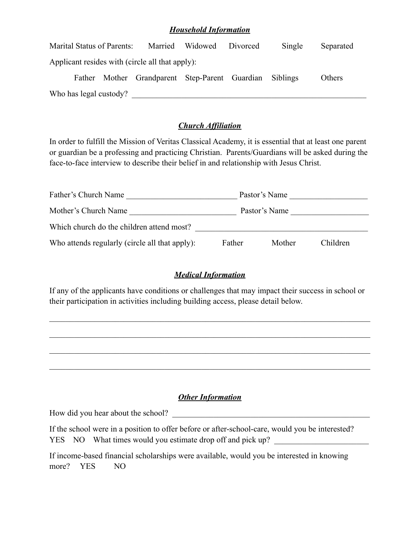#### *Household Information*

| Marital Status of Parents:                      |                                                | Married Widowed | Divorced | Single   | Separated |
|-------------------------------------------------|------------------------------------------------|-----------------|----------|----------|-----------|
| Applicant resides with (circle all that apply): |                                                |                 |          |          |           |
|                                                 | Father Mother Grandparent Step-Parent Guardian |                 |          | Siblings | Others    |
| Who has legal custody?                          |                                                |                 |          |          |           |

# *Church Affiliation*

In order to fulfill the Mission of Veritas Classical Academy, it is essential that at least one parent or guardian be a professing and practicing Christian. Parents/Guardians will be asked during the face-to-face interview to describe their belief in and relationship with Jesus Christ.

| Father's Church Name                           |        | Pastor's Name |          |  |
|------------------------------------------------|--------|---------------|----------|--|
| Mother's Church Name                           |        | Pastor's Name |          |  |
| Which church do the children attend most?      |        |               |          |  |
| Who attends regularly (circle all that apply): | Father | Mother        | Children |  |

# *Medical Information*

If any of the applicants have conditions or challenges that may impact their success in school or their participation in activities including building access, please detail below.

 $\mathcal{L}_\mathcal{L} = \{ \mathcal{L}_\mathcal{L} = \{ \mathcal{L}_\mathcal{L} = \{ \mathcal{L}_\mathcal{L} = \{ \mathcal{L}_\mathcal{L} = \{ \mathcal{L}_\mathcal{L} = \{ \mathcal{L}_\mathcal{L} = \{ \mathcal{L}_\mathcal{L} = \{ \mathcal{L}_\mathcal{L} = \{ \mathcal{L}_\mathcal{L} = \{ \mathcal{L}_\mathcal{L} = \{ \mathcal{L}_\mathcal{L} = \{ \mathcal{L}_\mathcal{L} = \{ \mathcal{L}_\mathcal{L} = \{ \mathcal{L}_\mathcal{$ 

 $\mathcal{L}_\mathcal{L} = \{ \mathcal{L}_\mathcal{L} = \{ \mathcal{L}_\mathcal{L} = \{ \mathcal{L}_\mathcal{L} = \{ \mathcal{L}_\mathcal{L} = \{ \mathcal{L}_\mathcal{L} = \{ \mathcal{L}_\mathcal{L} = \{ \mathcal{L}_\mathcal{L} = \{ \mathcal{L}_\mathcal{L} = \{ \mathcal{L}_\mathcal{L} = \{ \mathcal{L}_\mathcal{L} = \{ \mathcal{L}_\mathcal{L} = \{ \mathcal{L}_\mathcal{L} = \{ \mathcal{L}_\mathcal{L} = \{ \mathcal{L}_\mathcal{$ 

 $\mathcal{L}_\mathcal{L} = \{ \mathcal{L}_\mathcal{L} = \{ \mathcal{L}_\mathcal{L} = \{ \mathcal{L}_\mathcal{L} = \{ \mathcal{L}_\mathcal{L} = \{ \mathcal{L}_\mathcal{L} = \{ \mathcal{L}_\mathcal{L} = \{ \mathcal{L}_\mathcal{L} = \{ \mathcal{L}_\mathcal{L} = \{ \mathcal{L}_\mathcal{L} = \{ \mathcal{L}_\mathcal{L} = \{ \mathcal{L}_\mathcal{L} = \{ \mathcal{L}_\mathcal{L} = \{ \mathcal{L}_\mathcal{L} = \{ \mathcal{L}_\mathcal{$ 

 $\mathcal{L}_\mathcal{L} = \{ \mathcal{L}_\mathcal{L} = \{ \mathcal{L}_\mathcal{L} = \{ \mathcal{L}_\mathcal{L} = \{ \mathcal{L}_\mathcal{L} = \{ \mathcal{L}_\mathcal{L} = \{ \mathcal{L}_\mathcal{L} = \{ \mathcal{L}_\mathcal{L} = \{ \mathcal{L}_\mathcal{L} = \{ \mathcal{L}_\mathcal{L} = \{ \mathcal{L}_\mathcal{L} = \{ \mathcal{L}_\mathcal{L} = \{ \mathcal{L}_\mathcal{L} = \{ \mathcal{L}_\mathcal{L} = \{ \mathcal{L}_\mathcal{$ 

# *Other Information*

How did you hear about the school?

If the school were in a position to offer before or after-school-care, would you be interested? YES NO What times would you estimate drop off and pick up?

If income-based financial scholarships were available, would you be interested in knowing more? YES NO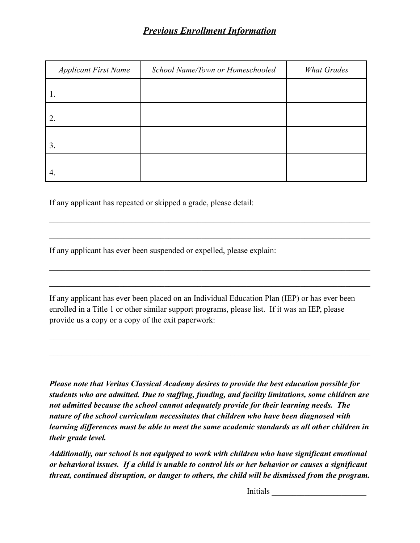# *Previous Enrollment Information*

| <b>Applicant First Name</b> | School Name/Town or Homeschooled | <b>What Grades</b> |
|-----------------------------|----------------------------------|--------------------|
|                             |                                  |                    |
| 2.                          |                                  |                    |
| 3.                          |                                  |                    |
| 4.                          |                                  |                    |

 $\mathcal{L}_\mathcal{L} = \{ \mathcal{L}_\mathcal{L} = \{ \mathcal{L}_\mathcal{L} = \{ \mathcal{L}_\mathcal{L} = \{ \mathcal{L}_\mathcal{L} = \{ \mathcal{L}_\mathcal{L} = \{ \mathcal{L}_\mathcal{L} = \{ \mathcal{L}_\mathcal{L} = \{ \mathcal{L}_\mathcal{L} = \{ \mathcal{L}_\mathcal{L} = \{ \mathcal{L}_\mathcal{L} = \{ \mathcal{L}_\mathcal{L} = \{ \mathcal{L}_\mathcal{L} = \{ \mathcal{L}_\mathcal{L} = \{ \mathcal{L}_\mathcal{$ 

 $\mathcal{L}_\mathcal{L} = \{ \mathcal{L}_\mathcal{L} = \{ \mathcal{L}_\mathcal{L} = \{ \mathcal{L}_\mathcal{L} = \{ \mathcal{L}_\mathcal{L} = \{ \mathcal{L}_\mathcal{L} = \{ \mathcal{L}_\mathcal{L} = \{ \mathcal{L}_\mathcal{L} = \{ \mathcal{L}_\mathcal{L} = \{ \mathcal{L}_\mathcal{L} = \{ \mathcal{L}_\mathcal{L} = \{ \mathcal{L}_\mathcal{L} = \{ \mathcal{L}_\mathcal{L} = \{ \mathcal{L}_\mathcal{L} = \{ \mathcal{L}_\mathcal{$ 

 $\mathcal{L}_\mathcal{L} = \{ \mathcal{L}_\mathcal{L} = \{ \mathcal{L}_\mathcal{L} = \{ \mathcal{L}_\mathcal{L} = \{ \mathcal{L}_\mathcal{L} = \{ \mathcal{L}_\mathcal{L} = \{ \mathcal{L}_\mathcal{L} = \{ \mathcal{L}_\mathcal{L} = \{ \mathcal{L}_\mathcal{L} = \{ \mathcal{L}_\mathcal{L} = \{ \mathcal{L}_\mathcal{L} = \{ \mathcal{L}_\mathcal{L} = \{ \mathcal{L}_\mathcal{L} = \{ \mathcal{L}_\mathcal{L} = \{ \mathcal{L}_\mathcal{$ 

 $\mathcal{L}_\mathcal{L} = \{ \mathcal{L}_\mathcal{L} = \{ \mathcal{L}_\mathcal{L} = \{ \mathcal{L}_\mathcal{L} = \{ \mathcal{L}_\mathcal{L} = \{ \mathcal{L}_\mathcal{L} = \{ \mathcal{L}_\mathcal{L} = \{ \mathcal{L}_\mathcal{L} = \{ \mathcal{L}_\mathcal{L} = \{ \mathcal{L}_\mathcal{L} = \{ \mathcal{L}_\mathcal{L} = \{ \mathcal{L}_\mathcal{L} = \{ \mathcal{L}_\mathcal{L} = \{ \mathcal{L}_\mathcal{L} = \{ \mathcal{L}_\mathcal{$ 

 $\mathcal{L}_\mathcal{L} = \{ \mathcal{L}_\mathcal{L} = \{ \mathcal{L}_\mathcal{L} = \{ \mathcal{L}_\mathcal{L} = \{ \mathcal{L}_\mathcal{L} = \{ \mathcal{L}_\mathcal{L} = \{ \mathcal{L}_\mathcal{L} = \{ \mathcal{L}_\mathcal{L} = \{ \mathcal{L}_\mathcal{L} = \{ \mathcal{L}_\mathcal{L} = \{ \mathcal{L}_\mathcal{L} = \{ \mathcal{L}_\mathcal{L} = \{ \mathcal{L}_\mathcal{L} = \{ \mathcal{L}_\mathcal{L} = \{ \mathcal{L}_\mathcal{$ 

 $\mathcal{L}_\mathcal{L} = \{ \mathcal{L}_\mathcal{L} = \{ \mathcal{L}_\mathcal{L} = \{ \mathcal{L}_\mathcal{L} = \{ \mathcal{L}_\mathcal{L} = \{ \mathcal{L}_\mathcal{L} = \{ \mathcal{L}_\mathcal{L} = \{ \mathcal{L}_\mathcal{L} = \{ \mathcal{L}_\mathcal{L} = \{ \mathcal{L}_\mathcal{L} = \{ \mathcal{L}_\mathcal{L} = \{ \mathcal{L}_\mathcal{L} = \{ \mathcal{L}_\mathcal{L} = \{ \mathcal{L}_\mathcal{L} = \{ \mathcal{L}_\mathcal{$ 

If any applicant has repeated or skipped a grade, please detail:

If any applicant has ever been suspended or expelled, please explain:

If any applicant has ever been placed on an Individual Education Plan (IEP) or has ever been enrolled in a Title 1 or other similar support programs, please list. If it was an IEP, please provide us a copy or a copy of the exit paperwork:

*Please note that Veritas Classical Academy desires to provide the best education possible for students who are admitted. Due to staffing, funding, and facility limitations, some children are not admitted because the school cannot adequately provide for their learning needs. The nature of the school curriculum necessitates that children who have been diagnosed with learning differences must be able to meet the same academic standards as all other children in their grade level.*

*Additionally, our school is not equipped to work with children who have significant emotional or behavioral issues. If a child is unable to control his or her behavior or causes a significant threat, continued disruption, or danger to others, the child will be dismissed from the program.*

Initials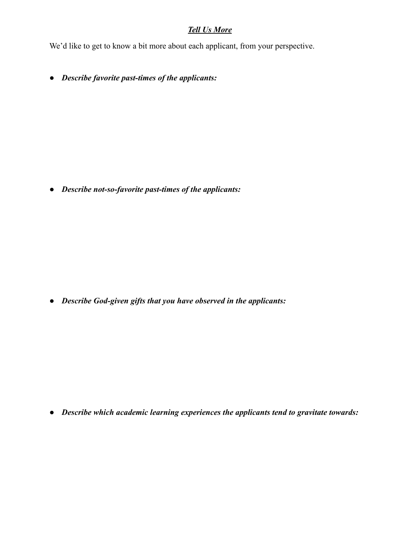# *Tell Us More*

We'd like to get to know a bit more about each applicant, from your perspective.

*● Describe favorite past-times of the applicants:*

*● Describe not-so-favorite past-times of the applicants:*

*● Describe God-given gifts that you have observed in the applicants:*

*● Describe which academic learning experiences the applicants tend to gravitate towards:*